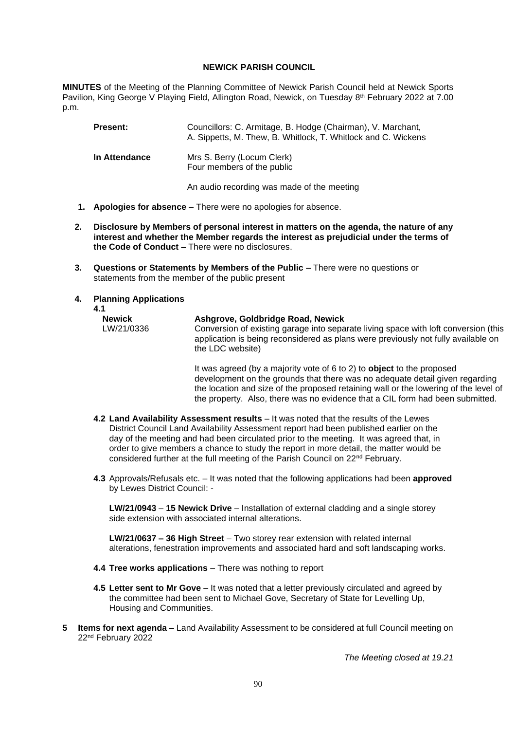## **NEWICK PARISH COUNCIL**

**MINUTES** of the Meeting of the Planning Committee of Newick Parish Council held at Newick Sports Pavilion, King George V Playing Field, Allington Road, Newick, on Tuesday 8<sup>th</sup> February 2022 at 7.00 p.m.

| <b>Present:</b> | Councillors: C. Armitage, B. Hodge (Chairman), V. Marchant,<br>A. Sippetts, M. Thew, B. Whitlock, T. Whitlock and C. Wickens |
|-----------------|------------------------------------------------------------------------------------------------------------------------------|
| In Attendance   | Mrs S. Berry (Locum Clerk)<br>Four members of the public                                                                     |
|                 | An audio recording was made of the meeting                                                                                   |

- **1. Apologies for absence**  There were no apologies for absence.
- **2. Disclosure by Members of personal interest in matters on the agenda, the nature of any interest and whether the Member regards the interest as prejudicial under the terms of the Code of Conduct –** There were no disclosures.
- **3. Questions or Statements by Members of the Public** There were no questions or statements from the member of the public present

## **4. Planning Applications**

**4.1**

| <b>Newick</b> |  |
|---------------|--|
| LW/21/0336    |  |

## **Ashgrove, Goldbridge Road, Newick**

Conversion of existing garage into separate living space with loft conversion (this application is being reconsidered as plans were previously not fully available on the LDC website)

It was agreed (by a majority vote of 6 to 2) to **object** to the proposed development on the grounds that there was no adequate detail given regarding the location and size of the proposed retaining wall or the lowering of the level of the property. Also, there was no evidence that a CIL form had been submitted.

- **4.2 Land Availability Assessment results** It was noted that the results of the Lewes District Council Land Availability Assessment report had been published earlier on the day of the meeting and had been circulated prior to the meeting. It was agreed that, in order to give members a chance to study the report in more detail, the matter would be considered further at the full meeting of the Parish Council on 22nd February.
- **4.3** Approvals/Refusals etc. It was noted that the following applications had been **approved** by Lewes District Council: -

**LW/21/0943** – **15 Newick Drive** – Installation of external cladding and a single storey side extension with associated internal alterations.

**LW/21/0637 – 36 High Street** – Two storey rear extension with related internal alterations, fenestration improvements and associated hard and soft landscaping works.

- **4.4 Tree works applications** There was nothing to report
- **4.5 Letter sent to Mr Gove** It was noted that a letter previously circulated and agreed by the committee had been sent to Michael Gove, Secretary of State for Levelling Up, Housing and Communities.
- **5 Items for next agenda** Land Availability Assessment to be considered at full Council meeting on 22nd February 2022

*The Meeting closed at 19.21*